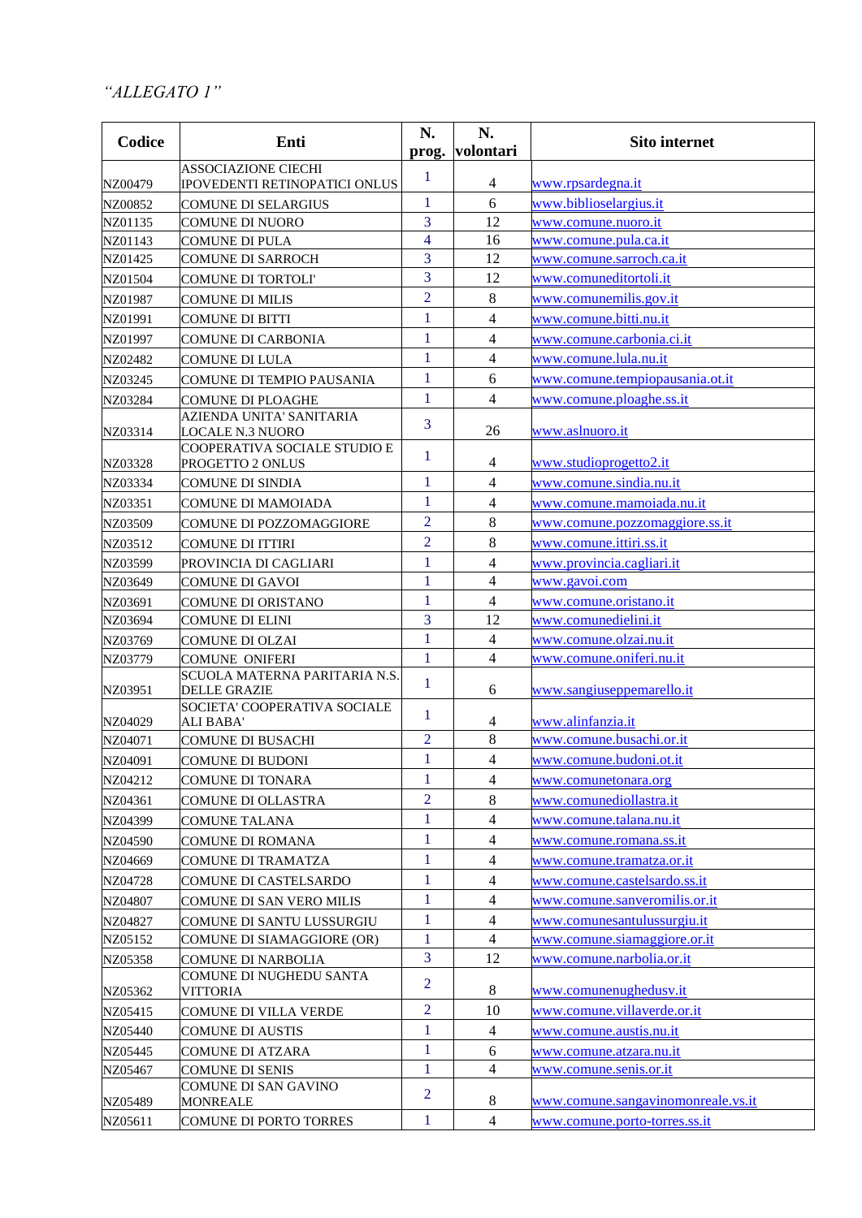## *"ALLEGATO 1"*

| Codice  | Enti                                                        | N.<br>prog.    | N.<br>volontari | <b>Sito internet</b>               |
|---------|-------------------------------------------------------------|----------------|-----------------|------------------------------------|
| NZ00479 | <b>ASSOCIAZIONE CIECHI</b><br>IPOVEDENTI RETINOPATICI ONLUS | 1              | $\overline{4}$  | www.rpsardegna.it                  |
| NZ00852 | <b>COMUNE DI SELARGIUS</b>                                  | 1              | 6               | www.biblioselargius.it             |
| NZ01135 | <b>COMUNE DI NUORO</b>                                      | $\overline{3}$ | 12              | www.comune.nuoro.it                |
| NZ01143 | <b>COMUNE DI PULA</b>                                       | 4              | 16              | www.comune.pula.ca.it              |
| NZ01425 | <b>COMUNE DI SARROCH</b>                                    | 3              | 12              | www.comune.sarroch.ca.it           |
| NZ01504 | <b>COMUNE DI TORTOLI'</b>                                   | 3              | 12              | www.comuneditortoli.it             |
| NZ01987 | <b>COMUNE DI MILIS</b>                                      | $\overline{2}$ | $\,8\,$         | www.comunemilis.gov.it             |
| NZ01991 | <b>COMUNE DI BITTI</b>                                      | 1              | $\overline{4}$  | www.comune.bitti.nu.it             |
| NZ01997 | <b>COMUNE DI CARBONIA</b>                                   | 1              | $\overline{4}$  | www.comune.carbonia.ci.it          |
| NZ02482 | <b>COMUNE DI LULA</b>                                       | $\mathbf{1}$   | $\overline{4}$  | www.comune.lula.nu.it              |
| NZ03245 | <b>COMUNE DI TEMPIO PAUSANIA</b>                            | $\mathbf{1}$   | 6               | www.comune.tempiopausania.ot.it    |
| NZ03284 |                                                             | 1              | $\overline{4}$  | www.comune.ploaghe.ss.it           |
|         | <b>COMUNE DI PLOAGHE</b><br>AZIENDA UNITA' SANITARIA        |                |                 |                                    |
| NZ03314 | <b>LOCALE N.3 NUORO</b>                                     | 3              | 26              | www.aslnuoro.it                    |
|         | COOPERATIVA SOCIALE STUDIO E                                | 1              |                 |                                    |
| NZ03328 | PROGETTO 2 ONLUS                                            |                | $\overline{4}$  | www.studioprogetto2.it             |
| NZ03334 | <b>COMUNE DI SINDIA</b>                                     | $\mathbf{1}$   | $\overline{4}$  | www.comune.sindia.nu.it            |
| NZ03351 | COMUNE DI MAMOIADA                                          | 1              | $\overline{4}$  | www.comune.mamoiada.nu.it          |
| NZ03509 | COMUNE DI POZZOMAGGIORE                                     | $\overline{2}$ | $\,8\,$         | www.comune.pozzomaggiore.ss.it     |
| NZ03512 | COMUNE DI ITTIRI                                            | $\overline{2}$ | $\,8\,$         | www.comune.ittiri.ss.it            |
| NZ03599 | PROVINCIA DI CAGLIARI                                       | $\mathbf{1}$   | $\overline{4}$  | www.provincia.cagliari.it          |
| NZ03649 | <b>COMUNE DI GAVOI</b>                                      | $\mathbf{1}$   | $\overline{4}$  | www.gavoi.com                      |
| NZ03691 | <b>COMUNE DI ORISTANO</b>                                   | $\mathbf{1}$   | $\overline{4}$  | www.comune.oristano.it             |
| NZ03694 | <b>COMUNE DI ELINI</b>                                      | 3              | 12              | www.comunedielini.it               |
| NZ03769 | <b>COMUNE DI OLZAI</b>                                      | 1              | $\overline{4}$  | www.comune.olzai.nu.it             |
| NZ03779 | <b>COMUNE ONIFERI</b>                                       | $\mathbf{1}$   | $\overline{4}$  | www.comune.oniferi.nu.it           |
| NZ03951 | SCUOLA MATERNA PARITARIA N.S.<br><b>DELLE GRAZIE</b>        | 1              | 6               | www.sangiuseppemarello.it          |
| NZ04029 | SOCIETA' COOPERATIVA SOCIALE<br>ALI BABA'                   | 1              | $\overline{4}$  | www.alinfanzia.it                  |
| NZ04071 | COMUNE DI BUSACHI                                           | $\overline{2}$ | 8               | www.comune.busachi.or.it           |
| NZ04091 | <b>COMUNE DI BUDONI</b>                                     | $\mathbf{1}$   | $\overline{4}$  | www.comune.budoni.ot.it            |
| NZ04212 | <b>COMUNE DI TONARA</b>                                     | 1              | $\overline{4}$  | www.comunetonara.org               |
| NZ04361 | <b>COMUNE DI OLLASTRA</b>                                   | $\overline{2}$ | 8               | www.comunediollastra.it            |
| NZ04399 | <b>COMUNE TALANA</b>                                        | 1              | $\overline{4}$  | www.comune.talana.nu.it            |
|         |                                                             | $\mathbf{1}$   | $\overline{4}$  | www.comune.romana.ss.it            |
| NZ04590 | COMUNE DI ROMANA                                            | $\mathbf{1}$   | $\overline{4}$  |                                    |
| NZ04669 | <b>COMUNE DI TRAMATZA</b>                                   |                |                 | www.comune.tramatza.or.it          |
| NZ04728 | COMUNE DI CASTELSARDO                                       | 1              | $\overline{4}$  | www.comune.castelsardo.ss.it       |
| NZ04807 | COMUNE DI SAN VERO MILIS                                    | $\mathbf{1}$   | $\overline{4}$  | www.comune.sanveromilis.or.it      |
| NZ04827 | COMUNE DI SANTU LUSSURGIU                                   | $\mathbf{1}$   | $\overline{4}$  | www.comunesantulussurgiu.it        |
| NZ05152 | COMUNE DI SIAMAGGIORE (OR)                                  | 1              | $\overline{4}$  | www.comune.siamaggiore.or.it       |
| NZ05358 | <b>COMUNE DI NARBOLIA</b>                                   | 3              | 12              | www.comune.narbolia.or.it          |
| NZ05362 | COMUNE DI NUGHEDU SANTA<br>VITTORIA                         | $\overline{2}$ | $\,8\,$         | www.comunenughedusv.it             |
| NZ05415 | COMUNE DI VILLA VERDE                                       | $\overline{2}$ | 10              | www.comune.villaverde.or.it        |
| NZ05440 | <b>COMUNE DI AUSTIS</b>                                     | $\mathbf{1}$   | $\overline{4}$  | www.comune.austis.nu.it            |
| NZ05445 | <b>COMUNE DI ATZARA</b>                                     | $\mathbf{1}$   | 6               | www.comune.atzara.nu.it            |
| NZ05467 | <b>COMUNE DI SENIS</b>                                      | $\mathbf{1}$   | $\overline{4}$  | www.comune.senis.or.it             |
|         | COMUNE DI SAN GAVINO                                        | $\overline{2}$ |                 |                                    |
| NZ05489 | <b>MONREALE</b>                                             |                | $\,8\,$         | www.comune.sangavinomonreale.vs.it |
| NZ05611 | COMUNE DI PORTO TORRES                                      | $\mathbf{1}$   | $\overline{4}$  | www.comune.porto-torres.ss.it      |